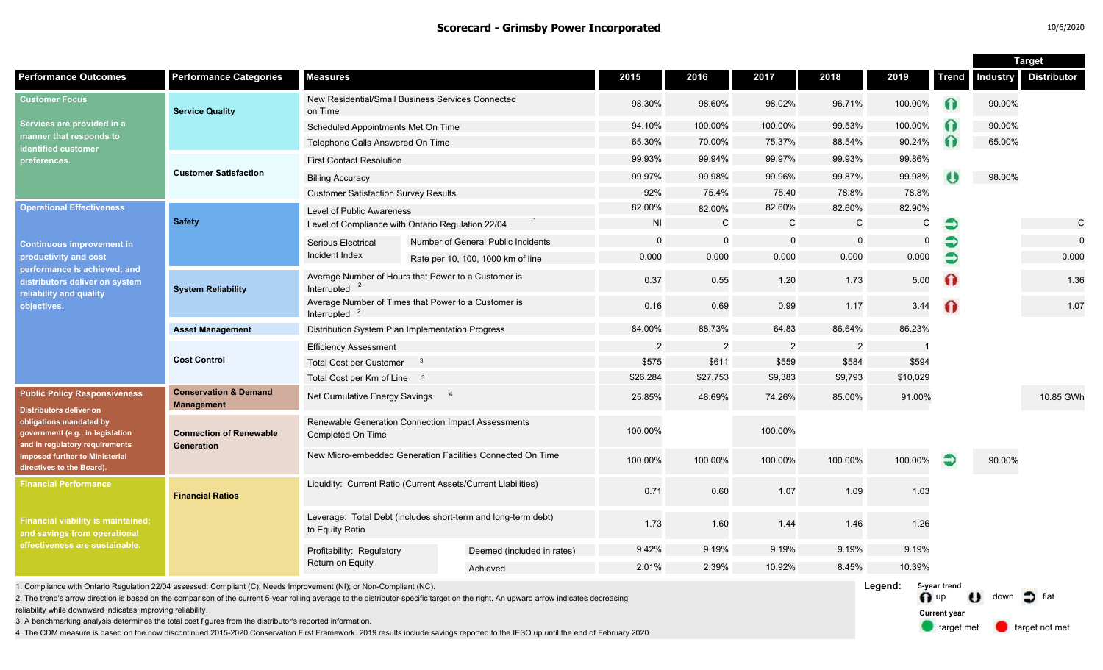#### **Scorecard - Grimsby Power Incorporated** 10/6/2020

|                                                                                                                                                                                                                                       |                                                       |                                                                                  |  |                                    |                |                |                |                |          |              | <b>Target</b>   |                    |
|---------------------------------------------------------------------------------------------------------------------------------------------------------------------------------------------------------------------------------------|-------------------------------------------------------|----------------------------------------------------------------------------------|--|------------------------------------|----------------|----------------|----------------|----------------|----------|--------------|-----------------|--------------------|
| <b>Performance Outcomes</b>                                                                                                                                                                                                           | <b>Performance Categories</b>                         | <b>Measures</b>                                                                  |  |                                    | 2015           | 2016           | 2017           | 2018           | 2019     | <b>Trend</b> | <b>Industry</b> | <b>Distributor</b> |
| <b>Customer Focus</b><br>Services are provided in a<br>manner that responds to<br>identified customer<br>preferences.                                                                                                                 | <b>Service Quality</b>                                | New Residential/Small Business Services Connected<br>on Time                     |  | 98.30%                             | 98.60%         | 98.02%         | 96.71%         | 100.00%        | $\Omega$ | 90.00%       |                 |                    |
|                                                                                                                                                                                                                                       |                                                       | Scheduled Appointments Met On Time                                               |  |                                    | 94.10%         | 100.00%        | 100.00%        | 99.53%         | 100.00%  | $\Omega$     | 90.00%          |                    |
|                                                                                                                                                                                                                                       |                                                       | Telephone Calls Answered On Time                                                 |  |                                    | 65.30%         | 70.00%         | 75.37%         | 88.54%         | 90.24%   | $\Omega$     | 65.00%          |                    |
|                                                                                                                                                                                                                                       | <b>Customer Satisfaction</b>                          | <b>First Contact Resolution</b>                                                  |  |                                    | 99.93%         | 99.94%         | 99.97%         | 99.93%         | 99.86%   |              |                 |                    |
|                                                                                                                                                                                                                                       |                                                       | <b>Billing Accuracy</b>                                                          |  |                                    | 99.97%         | 99.98%         | 99.96%         | 99.87%         | 99.98%   |              | 98.00%          |                    |
|                                                                                                                                                                                                                                       |                                                       | <b>Customer Satisfaction Survey Results</b>                                      |  | 92%                                | 75.4%          | 75.40          | 78.8%          | 78.8%          |          |              |                 |                    |
| <b>Operational Effectiveness</b><br><b>Continuous improvement in</b><br>productivity and cost<br>performance is achieved; and<br>distributors deliver on system<br>reliability and quality<br>objectives.                             | <b>Safety</b>                                         | Level of Public Awareness                                                        |  |                                    | 82.00%         | 82.00%         | 82.60%         | 82.60%         | 82.90%   |              |                 |                    |
|                                                                                                                                                                                                                                       |                                                       | Level of Compliance with Ontario Regulation 22/04                                |  | <b>NI</b>                          | $\mathsf{C}$   | $\mathsf{C}$   | $\mathsf C$    | $\mathsf{C}$   | €        |              | $\mathsf{C}$    |                    |
|                                                                                                                                                                                                                                       |                                                       | <b>Serious Electrical</b>                                                        |  | Number of General Public Incidents | $\mathbf 0$    | $\Omega$       | $\mathbf 0$    | $\mathbf 0$    | $\Omega$ | €            |                 | $\mathbf{0}$       |
|                                                                                                                                                                                                                                       |                                                       | Incident Index                                                                   |  | Rate per 10, 100, 1000 km of line  | 0.000          | 0.000          | 0.000          | 0.000          | 0.000    |              |                 | 0.000              |
|                                                                                                                                                                                                                                       | <b>System Reliability</b>                             | Average Number of Hours that Power to a Customer is<br>Interrupted               |  |                                    | 0.37           | 0.55           | 1.20           | 1.73           | 5.00     | $\Omega$     |                 | 1.36               |
|                                                                                                                                                                                                                                       |                                                       | Average Number of Times that Power to a Customer is<br>Interrupted $2$           |  |                                    | 0.16           | 0.69           | 0.99           | 1.17           | 3.44     | $\Omega$     |                 | 1.07               |
|                                                                                                                                                                                                                                       | <b>Asset Management</b>                               | Distribution System Plan Implementation Progress                                 |  |                                    | 84.00%         | 88.73%         | 64.83          | 86.64%         | 86.23%   |              |                 |                    |
|                                                                                                                                                                                                                                       | <b>Cost Control</b>                                   | <b>Efficiency Assessment</b>                                                     |  |                                    | $\overline{a}$ | $\overline{2}$ | $\overline{2}$ | $\overline{2}$ |          |              |                 |                    |
|                                                                                                                                                                                                                                       |                                                       | Total Cost per Customer 3                                                        |  |                                    | \$575          | \$611          | \$559          | \$584          | \$594    |              |                 |                    |
|                                                                                                                                                                                                                                       |                                                       | Total Cost per Km of Line 3                                                      |  |                                    | \$26,284       | \$27,753       | \$9,383        | \$9,793        | \$10,029 |              |                 |                    |
| <b>Public Policy Responsiveness</b><br><b>Distributors deliver on</b><br>obligations mandated by<br>government (e.g., in legislation<br>and in regulatory requirements<br>imposed further to Ministerial<br>directives to the Board). | <b>Conservation &amp; Demand</b><br><b>Management</b> | $\overline{4}$<br>Net Cumulative Energy Savings                                  |  |                                    | 25.85%         | 48.69%         | 74.26%         | 85.00%         | 91.00%   |              |                 | 10.85 GWh          |
|                                                                                                                                                                                                                                       | <b>Connection of Renewable</b><br>Generation          | Renewable Generation Connection Impact Assessments<br>Completed On Time          |  |                                    | 100.00%        |                | 100.00%        |                |          |              |                 |                    |
|                                                                                                                                                                                                                                       |                                                       | New Micro-embedded Generation Facilities Connected On Time                       |  |                                    | 100.00%        | 100.00%        | 100.00%        | 100.00%        | 100.00%  |              | 90.00%          |                    |
| <b>Financial Performance</b><br><b>Financial viability is maintained;</b><br>and savings from operational<br>effectiveness are sustainable.                                                                                           | <b>Financial Ratios</b>                               | Liquidity: Current Ratio (Current Assets/Current Liabilities)                    |  |                                    | 0.71           | 0.60           | 1.07           | 1.09           | 1.03     |              |                 |                    |
|                                                                                                                                                                                                                                       |                                                       | Leverage: Total Debt (includes short-term and long-term debt)<br>to Equity Ratio |  |                                    | 1.73           | 1.60           | 1.44           | 1.46           | 1.26     |              |                 |                    |
|                                                                                                                                                                                                                                       |                                                       | Profitability: Regulatory<br>Return on Equity                                    |  | Deemed (included in rates)         | 9.42%          | 9.19%          | 9.19%          | 9.19%          | 9.19%    |              |                 |                    |
|                                                                                                                                                                                                                                       |                                                       |                                                                                  |  | Achieved                           | 2.01%          | 2.39%          | 10.92%         | 8.45%          | 10.39%   |              |                 |                    |
|                                                                                                                                                                                                                                       |                                                       |                                                                                  |  |                                    |                |                |                |                |          |              |                 |                    |

1. Compliance with Ontario Regulation 22/04 assessed: Compliant (C); Needs Improvement (NI); or Non-Compliant (NC).

2. The trend's arrow direction is based on the comparison of the current 5-year rolling average to the distributor-specific target on the right. An upward arrow indicates decreasing

reliability while downward indicates improving reliability.

3. A benchmarking analysis determines the total cost figures from the distributor's reported information.

4. The CDM measure is based on the now discontinued 2015-2020 Conservation First Framework. 2019 results include savings reported to the IESO up until the end of February 2020.

**Legend:** n up U down of flat **5-year trend**

**Current year**

target met **target not met**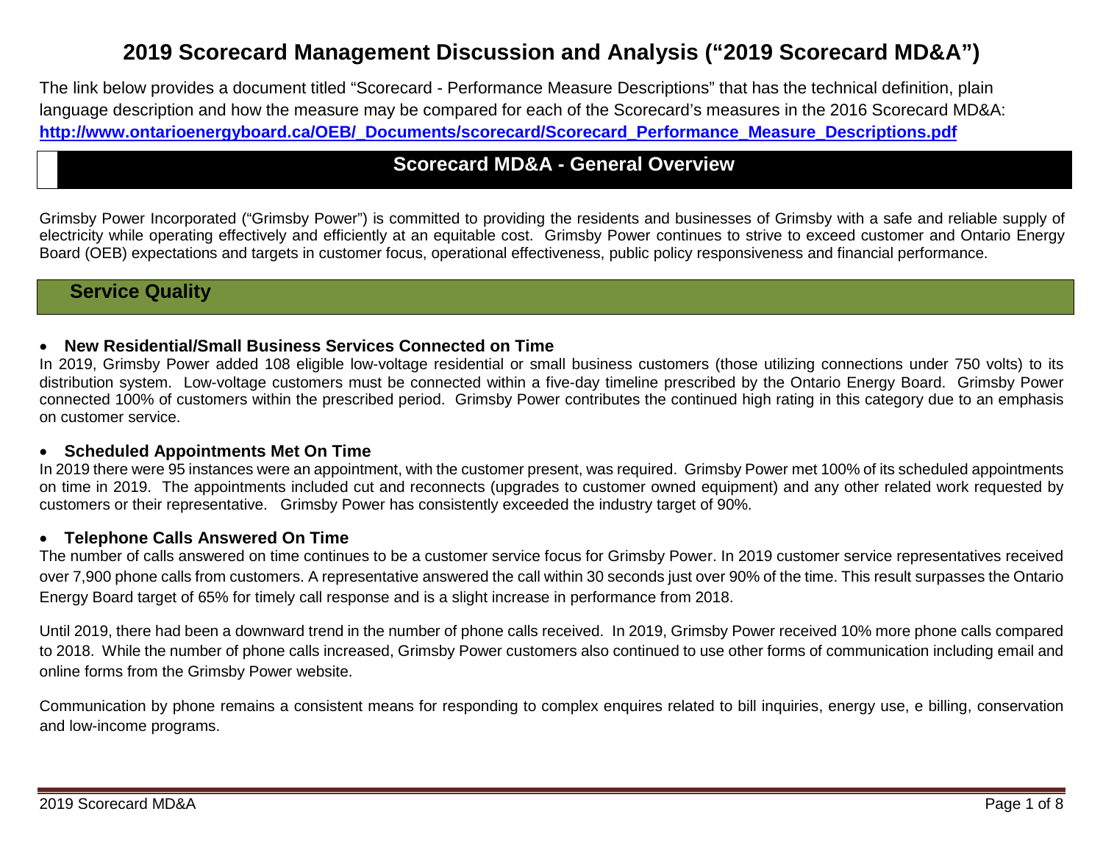# **2019 Scorecard Management Discussion and Analysis ("2019 Scorecard MD&A")**

The link below provides a document titled "Scorecard - Performance Measure Descriptions" that has the technical definition, plain language description and how the measure may be compared for each of the Scorecard's measures in the 2016 Scorecard MD&A: **[http://www.ontarioenergyboard.ca/OEB/\\_Documents/scorecard/Scorecard\\_Performance\\_Measure\\_Descriptions.pdf](http://www.ontarioenergyboard.ca/OEB/_Documents/scorecard/Scorecard_Performance_Measure_Descriptions.pdf)**

## **Scorecard MD&A - General Overview**

Grimsby Power Incorporated ("Grimsby Power") is committed to providing the residents and businesses of Grimsby with a safe and reliable supply of electricity while operating effectively and efficiently at an equitable cost. Grimsby Power continues to strive to exceed customer and Ontario Energy Board (OEB) expectations and targets in customer focus, operational effectiveness, public policy responsiveness and financial performance.

## **Service Quality**

#### • **New Residential/Small Business Services Connected on Time**

In 2019, Grimsby Power added 108 eligible low-voltage residential or small business customers (those utilizing connections under 750 volts) to its distribution system. Low-voltage customers must be connected within a five-day timeline prescribed by the Ontario Energy Board. Grimsby Power connected 100% of customers within the prescribed period. Grimsby Power contributes the continued high rating in this category due to an emphasis on customer service.

#### • **Scheduled Appointments Met On Time**

In 2019 there were 95 instances were an appointment, with the customer present, was required. Grimsby Power met 100% of its scheduled appointments on time in 2019. The appointments included cut and reconnects (upgrades to customer owned equipment) and any other related work requested by customers or their representative. Grimsby Power has consistently exceeded the industry target of 90%.

#### • **Telephone Calls Answered On Time**

The number of calls answered on time continues to be a customer service focus for Grimsby Power. In 2019 customer service representatives received over 7,900 phone calls from customers. A representative answered the call within 30 seconds just over 90% of the time. This result surpasses the Ontario Energy Board target of 65% for timely call response and is a slight increase in performance from 2018.

Until 2019, there had been a downward trend in the number of phone calls received. In 2019, Grimsby Power received 10% more phone calls compared to 2018. While the number of phone calls increased, Grimsby Power customers also continued to use other forms of communication including email and online forms from the Grimsby Power website.

Communication by phone remains a consistent means for responding to complex enquires related to bill inquiries, energy use, e billing, conservation and low-income programs.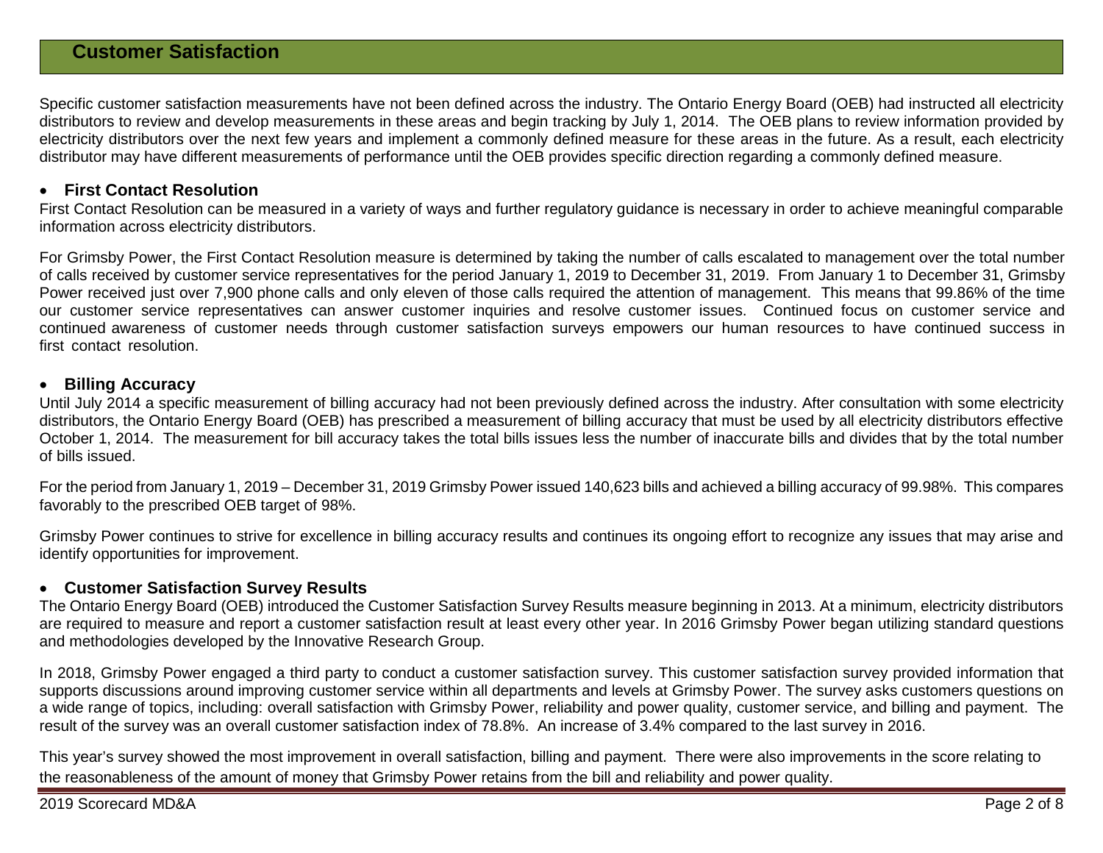## **Customer Satisfaction**

Specific customer satisfaction measurements have not been defined across the industry. The Ontario Energy Board (OEB) had instructed all electricity distributors to review and develop measurements in these areas and begin tracking by July 1, 2014. The OEB plans to review information provided by electricity distributors over the next few years and implement a commonly defined measure for these areas in the future. As a result, each electricity distributor may have different measurements of performance until the OEB provides specific direction regarding a commonly defined measure.

#### • **First Contact Resolution**

First Contact Resolution can be measured in a variety of ways and further regulatory guidance is necessary in order to achieve meaningful comparable information across electricity distributors.

For Grimsby Power, the First Contact Resolution measure is determined by taking the number of calls escalated to management over the total number of calls received by customer service representatives for the period January 1, 2019 to December 31, 2019. From January 1 to December 31, Grimsby Power received just over 7,900 phone calls and only eleven of those calls required the attention of management. This means that 99.86% of the time our customer service representatives can answer customer inquiries and resolve customer issues. Continued focus on customer service and continued awareness of customer needs through customer satisfaction surveys empowers our human resources to have continued success in first contact resolution.

#### • **Billing Accuracy**

Until July 2014 a specific measurement of billing accuracy had not been previously defined across the industry. After consultation with some electricity distributors, the Ontario Energy Board (OEB) has prescribed a measurement of billing accuracy that must be used by all electricity distributors effective October 1, 2014. The measurement for bill accuracy takes the total bills issues less the number of inaccurate bills and divides that by the total number of bills issued.

For the period from January 1, 2019 – December 31, 2019 Grimsby Power issued 140,623 bills and achieved a billing accuracy of 99.98%. This compares favorably to the prescribed OEB target of 98%.

Grimsby Power continues to strive for excellence in billing accuracy results and continues its ongoing effort to recognize any issues that may arise and identify opportunities for improvement.

#### • **Customer Satisfaction Survey Results**

The Ontario Energy Board (OEB) introduced the Customer Satisfaction Survey Results measure beginning in 2013. At a minimum, electricity distributors are required to measure and report a customer satisfaction result at least every other year. In 2016 Grimsby Power began utilizing standard questions and methodologies developed by the Innovative Research Group.

In 2018, Grimsby Power engaged a third party to conduct a customer satisfaction survey. This customer satisfaction survey provided information that supports discussions around improving customer service within all departments and levels at Grimsby Power. The survey asks customers questions on a wide range of topics, including: overall satisfaction with Grimsby Power, reliability and power quality, customer service, and billing and payment. The result of the survey was an overall customer satisfaction index of 78.8%. An increase of 3.4% compared to the last survey in 2016.

This year's survey showed the most improvement in overall satisfaction, billing and payment. There were also improvements in the score relating to the reasonableness of the amount of money that Grimsby Power retains from the bill and reliability and power quality.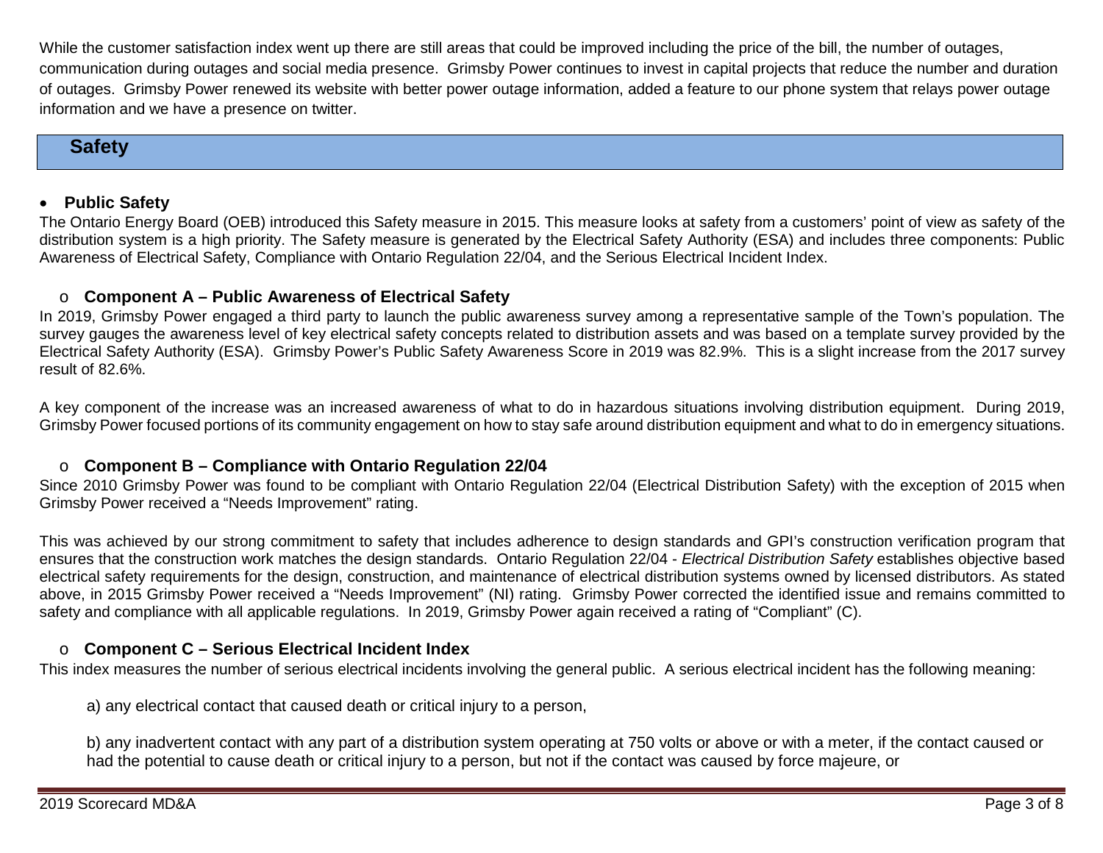While the customer satisfaction index went up there are still areas that could be improved including the price of the bill, the number of outages, communication during outages and social media presence. Grimsby Power continues to invest in capital projects that reduce the number and duration of outages. Grimsby Power renewed its website with better power outage information, added a feature to our phone system that relays power outage information and we have a presence on twitter.

## **Safety**

### • **Public Safety**

The Ontario Energy Board (OEB) introduced this Safety measure in 2015. This measure looks at safety from a customers' point of view as safety of the distribution system is a high priority. The Safety measure is generated by the Electrical Safety Authority (ESA) and includes three components: Public Awareness of Electrical Safety, Compliance with Ontario Regulation 22/04, and the Serious Electrical Incident Index.

### o **Component A – Public Awareness of Electrical Safety**

In 2019, Grimsby Power engaged a third party to launch the public awareness survey among a representative sample of the Town's population. The survey gauges the awareness level of key electrical safety concepts related to distribution assets and was based on a template survey provided by the Electrical Safety Authority (ESA).Grimsby Power's Public Safety Awareness Score in 2019 was 82.9%. This is a slight increase from the 2017 survey result of 82.6%.

A key component of the increase was an increased awareness of what to do in hazardous situations involving distribution equipment. During 2019, Grimsby Power focused portions of its community engagement on how to stay safe around distribution equipment and what to do in emergency situations.

#### o **Component B – Compliance with Ontario Regulation 22/04**

Since 2010 Grimsby Power was found to be compliant with Ontario Regulation 22/04 (Electrical Distribution Safety) with the exception of 2015 when Grimsby Power received a "Needs Improvement" rating.

This was achieved by our strong commitment to safety that includes adherence to design standards and GPI's construction verification program that ensures that the construction work matches the design standards. Ontario Regulation 22/04 - *Electrical Distribution Safety* establishes objective based electrical safety requirements for the design, construction, and maintenance of electrical distribution systems owned by licensed distributors. As stated above, in 2015 Grimsby Power received a "Needs Improvement" (NI) rating. Grimsby Power corrected the identified issue and remains committed to safety and compliance with all applicable regulations. In 2019, Grimsby Power again received a rating of "Compliant" (C).

#### o **Component C – Serious Electrical Incident Index**

This index measures the number of serious electrical incidents involving the general public. A serious electrical incident has the following meaning:

a) any electrical contact that caused death or critical injury to a person,

b) any inadvertent contact with any part of a distribution system operating at 750 volts or above or with a meter, if the contact caused or had the potential to cause death or critical injury to a person, but not if the contact was caused by force majeure, or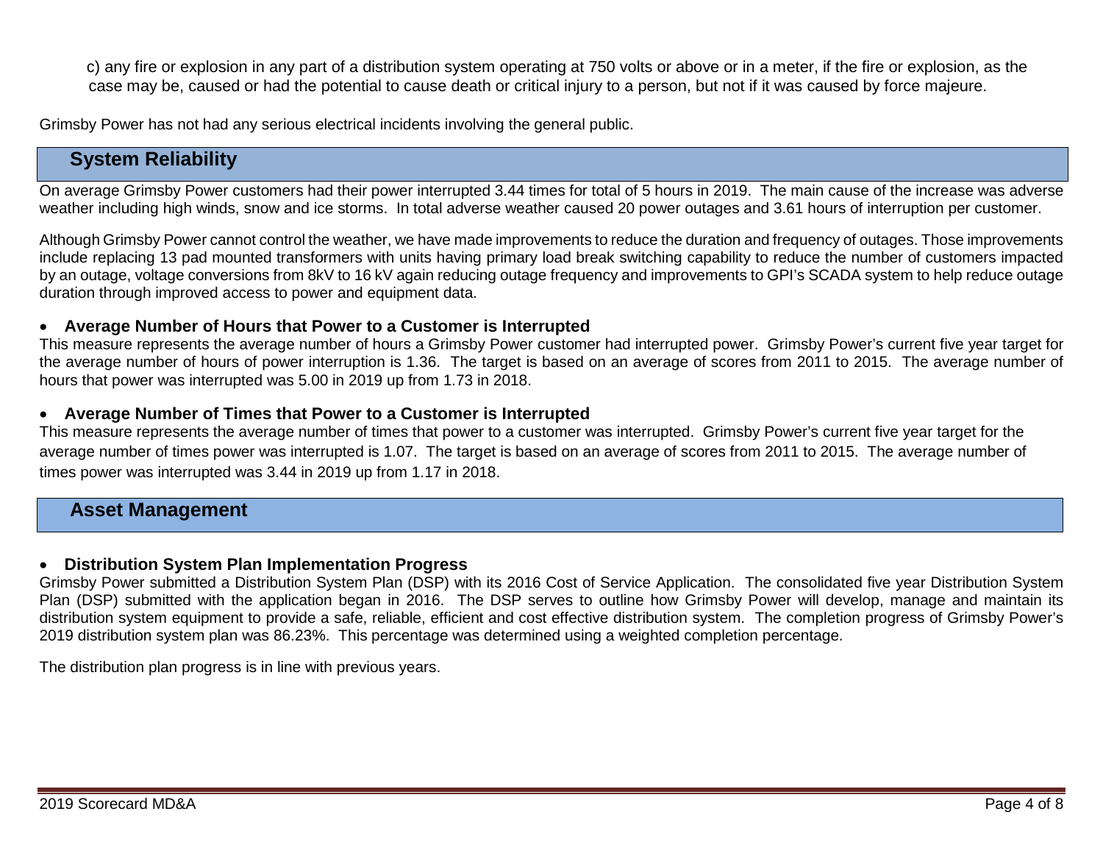c) any fire or explosion in any part of a distribution system operating at 750 volts or above or in a meter, if the fire or explosion, as the case may be, caused or had the potential to cause death or critical injury to a person, but not if it was caused by force majeure.

Grimsby Power has not had any serious electrical incidents involving the general public.

## **System Reliability**

On average Grimsby Power customers had their power interrupted 3.44 times for total of 5 hours in 2019. The main cause of the increase was adverse weather including high winds, snow and ice storms. In total adverse weather caused 20 power outages and 3.61 hours of interruption per customer.

Although Grimsby Power cannot control the weather, we have made improvements to reduce the duration and frequency of outages. Those improvements include replacing 13 pad mounted transformers with units having primary load break switching capability to reduce the number of customers impacted by an outage, voltage conversions from 8kV to 16 kV again reducing outage frequency and improvements to GPI's SCADA system to help reduce outage duration through improved access to power and equipment data.

#### • **Average Number of Hours that Power to a Customer is Interrupted**

This measure represents the average number of hours a Grimsby Power customer had interrupted power. Grimsby Power's current five year target for the average number of hours of power interruption is 1.36. The target is based on an average of scores from 2011 to 2015. The average number of hours that power was interrupted was 5.00 in 2019 up from 1.73 in 2018.

#### • **Average Number of Times that Power to a Customer is Interrupted**

This measure represents the average number of times that power to a customer was interrupted. Grimsby Power's current five year target for the average number of times power was interrupted is 1.07. The target is based on an average of scores from 2011 to 2015. The average number of times power was interrupted was 3.44 in 2019 up from 1.17 in 2018.

### **Asset Management**

#### • **Distribution System Plan Implementation Progress**

Grimsby Power submitted a Distribution System Plan (DSP) with its 2016 Cost of Service Application. The consolidated five year Distribution System Plan (DSP) submitted with the application began in 2016. The DSP serves to outline how Grimsby Power will develop, manage and maintain its distribution system equipment to provide a safe, reliable, efficient and cost effective distribution system. The completion progress of Grimsby Power's 2019 distribution system plan was 86.23%. This percentage was determined using a weighted completion percentage.

The distribution plan progress is in line with previous years.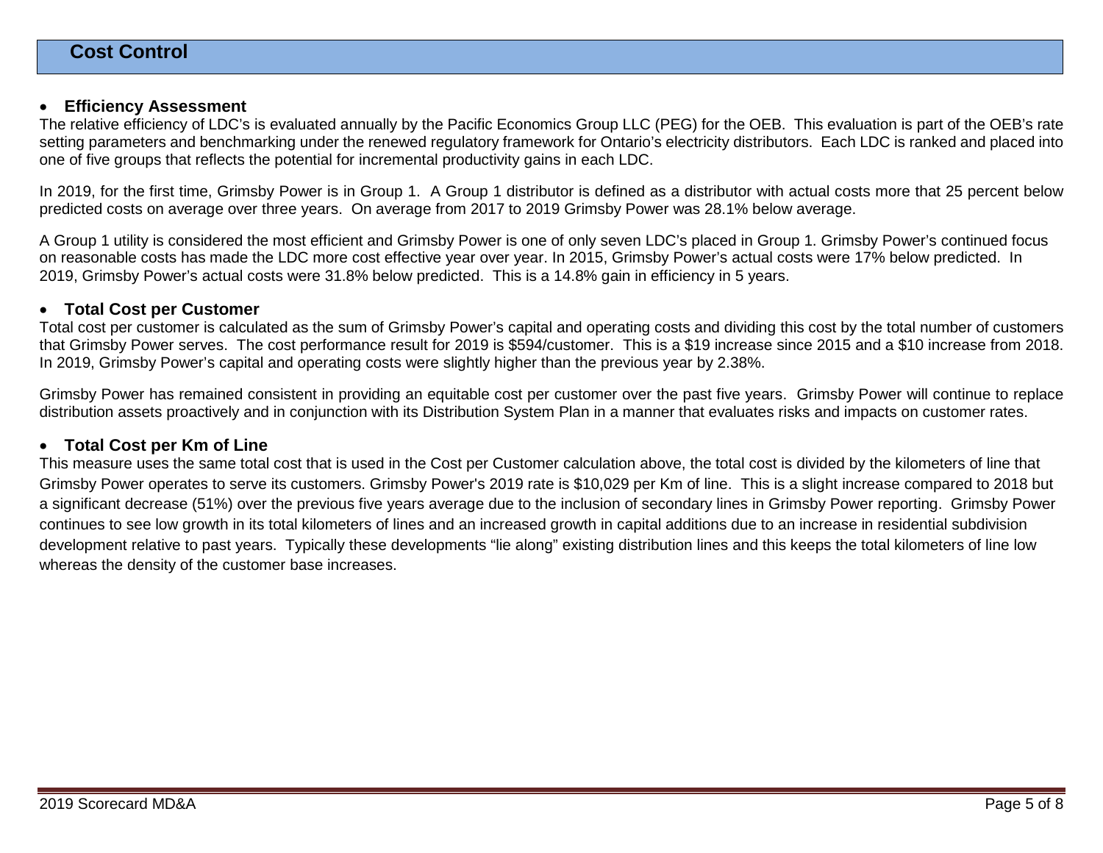#### • **Efficiency Assessment**

The relative efficiency of LDC's is evaluated annually by the Pacific Economics Group LLC (PEG) for the OEB. This evaluation is part of the OEB's rate setting parameters and benchmarking under the renewed regulatory framework for Ontario's electricity distributors. Each LDC is ranked and placed into one of five groups that reflects the potential for incremental productivity gains in each LDC.

In 2019, for the first time, Grimsby Power is in Group 1. A Group 1 distributor is defined as a distributor with actual costs more that 25 percent below predicted costs on average over three years. On average from 2017 to 2019 Grimsby Power was 28.1% below average.

A Group 1 utility is considered the most efficient and Grimsby Power is one of only seven LDC's placed in Group 1. Grimsby Power's continued focus on reasonable costs has made the LDC more cost effective year over year. In 2015, Grimsby Power's actual costs were 17% below predicted. In 2019, Grimsby Power's actual costs were 31.8% below predicted. This is a 14.8% gain in efficiency in 5 years.

#### • **Total Cost per Customer**

Total cost per customer is calculated as the sum of Grimsby Power's capital and operating costs and dividing this cost by the total number of customers that Grimsby Power serves. The cost performance result for 2019 is \$594/customer. This is a \$19 increase since 2015 and a \$10 increase from 2018. In 2019, Grimsby Power's capital and operating costs were slightly higher than the previous year by 2.38%.

Grimsby Power has remained consistent in providing an equitable cost per customer over the past five years. Grimsby Power will continue to replace distribution assets proactively and in conjunction with its Distribution System Plan in a manner that evaluates risks and impacts on customer rates.

#### • **Total Cost per Km of Line**

This measure uses the same total cost that is used in the Cost per Customer calculation above, the total cost is divided by the kilometers of line that Grimsby Power operates to serve its customers. Grimsby Power's 2019 rate is \$10,029 per Km of line. This is a slight increase compared to 2018 but a significant decrease (51%) over the previous five years average due to the inclusion of secondary lines in Grimsby Power reporting. Grimsby Power continues to see low growth in its total kilometers of lines and an increased growth in capital additions due to an increase in residential subdivision development relative to past years. Typically these developments "lie along" existing distribution lines and this keeps the total kilometers of line low whereas the density of the customer base increases.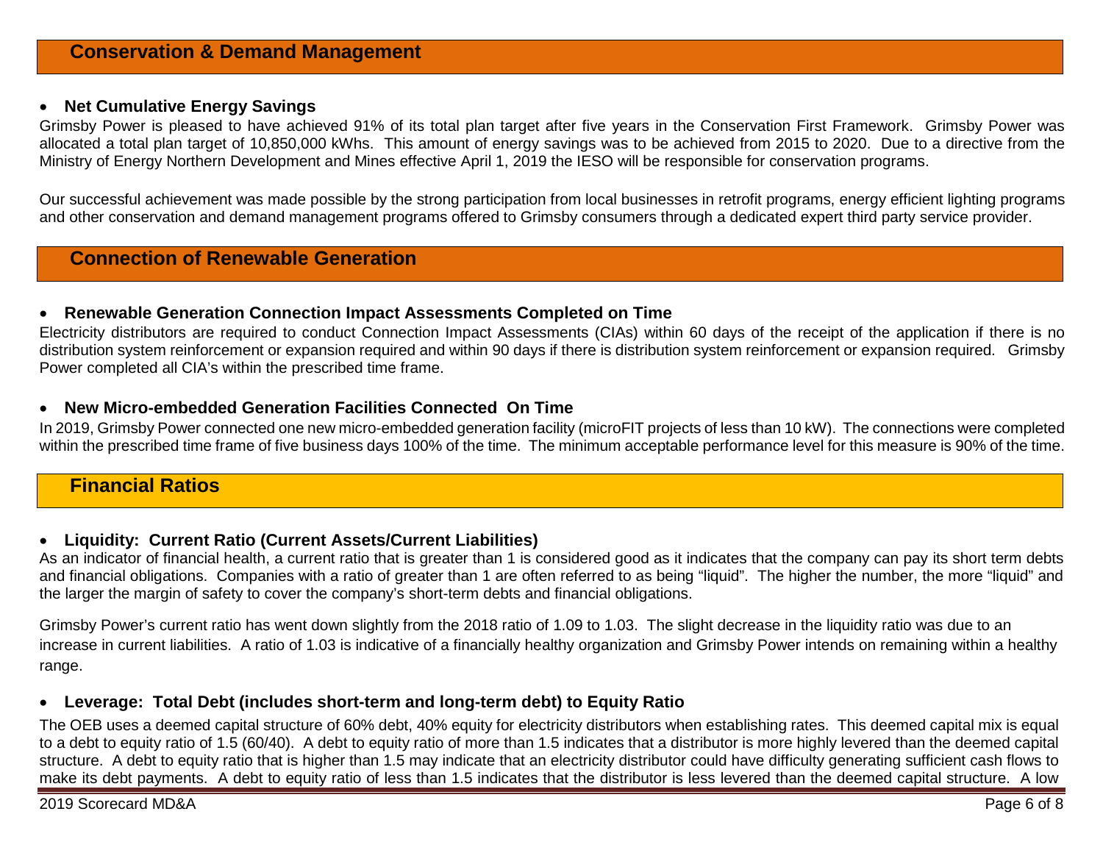#### • **Net Cumulative Energy Savings**

Grimsby Power is pleased to have achieved 91% of its total plan target after five years in the Conservation First Framework. Grimsby Power was allocated a total plan target of 10,850,000 kWhs. This amount of energy savings was to be achieved from 2015 to 2020. Due to a directive from the Ministry of Energy Northern Development and Mines effective April 1, 2019 the IESO will be responsible for conservation programs.

Our successful achievement was made possible by the strong participation from local businesses in retrofit programs, energy efficient lighting programs and other conservation and demand management programs offered to Grimsby consumers through a dedicated expert third party service provider.

## **Connection of Renewable Generation**

#### • **Renewable Generation Connection Impact Assessments Completed on Time**

Electricity distributors are required to conduct Connection Impact Assessments (CIAs) within 60 days of the receipt of the application if there is no distribution system reinforcement or expansion required and within 90 days if there is distribution system reinforcement or expansion required. Grimsby Power completed all CIA's within the prescribed time frame.

#### • **New Micro-embedded Generation Facilities Connected On Time**

In 2019, Grimsby Power connected one new micro-embedded generation facility (microFIT projects of less than 10 kW). The connections were completed within the prescribed time frame of five business days 100% of the time. The minimum acceptable performance level for this measure is 90% of the time.

## **Financial Ratios**

#### • **Liquidity: Current Ratio (Current Assets/Current Liabilities)**

As an indicator of financial health, a current ratio that is greater than 1 is considered good as it indicates that the company can pay its short term debts and financial obligations. Companies with a ratio of greater than 1 are often referred to as being "liquid". The higher the number, the more "liquid" and the larger the margin of safety to cover the company's short-term debts and financial obligations.

Grimsby Power's current ratio has went down slightly from the 2018 ratio of 1.09 to 1.03. The slight decrease in the liquidity ratio was due to an increase in current liabilities. A ratio of 1.03 is indicative of a financially healthy organization and Grimsby Power intends on remaining within a healthy range.

#### • **Leverage: Total Debt (includes short-term and long-term debt) to Equity Ratio**

The OEB uses a deemed capital structure of 60% debt, 40% equity for electricity distributors when establishing rates. This deemed capital mix is equal to a debt to equity ratio of 1.5 (60/40). A debt to equity ratio of more than 1.5 indicates that a distributor is more highly levered than the deemed capital structure. A debt to equity ratio that is higher than 1.5 may indicate that an electricity distributor could have difficulty generating sufficient cash flows to make its debt payments. A debt to equity ratio of less than 1.5 indicates that the distributor is less levered than the deemed capital structure. A low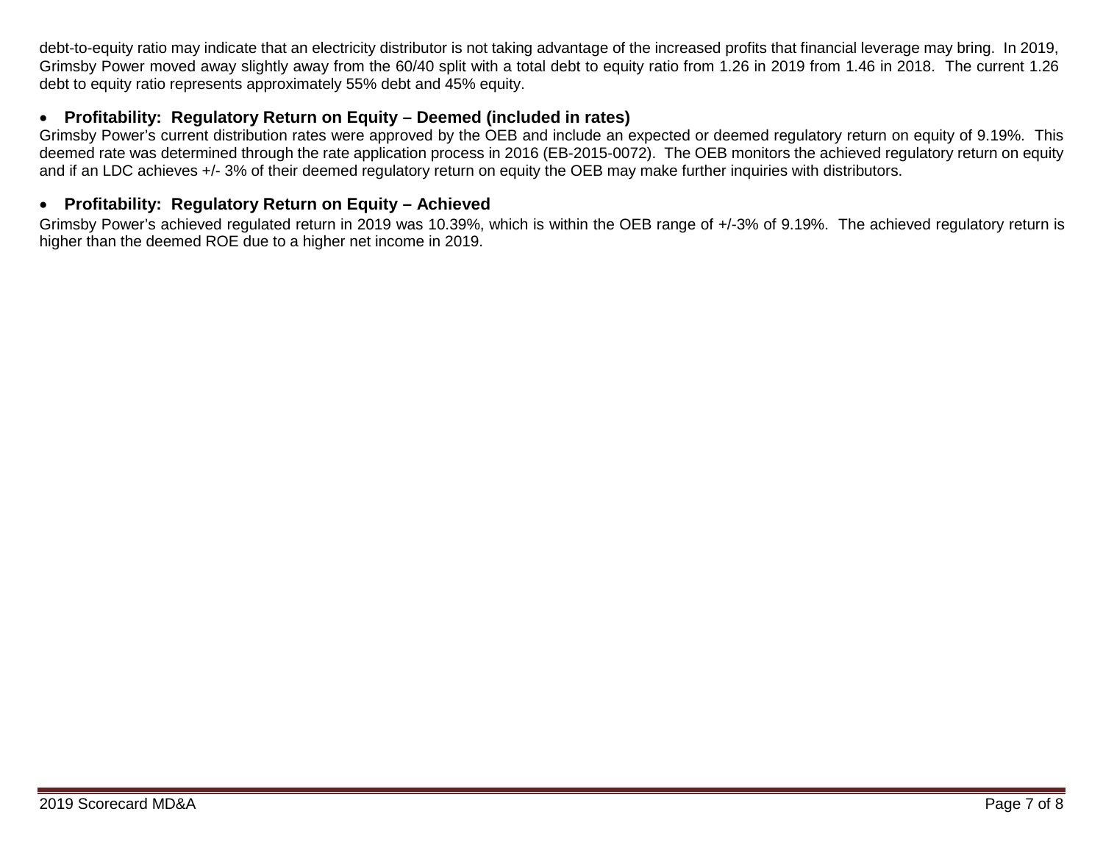debt-to-equity ratio may indicate that an electricity distributor is not taking advantage of the increased profits that financial leverage may bring. In 2019, Grimsby Power moved away slightly away from the 60/40 split with a total debt to equity ratio from 1.26 in 2019 from 1.46 in 2018. The current 1.26 debt to equity ratio represents approximately 55% debt and 45% equity.

### • **Profitability: Regulatory Return on Equity – Deemed (included in rates)**

Grimsby Power's current distribution rates were approved by the OEB and include an expected or deemed regulatory return on equity of 9.19%. This deemed rate was determined through the rate application process in 2016 (EB-2015-0072). The OEB monitors the achieved regulatory return on equity and if an LDC achieves +/- 3% of their deemed regulatory return on equity the OEB may make further inquiries with distributors.

#### • **Profitability: Regulatory Return on Equity – Achieved**

Grimsby Power's achieved regulated return in 2019 was 10.39%, which is within the OEB range of +/-3% of 9.19%. The achieved regulatory return is higher than the deemed ROE due to a higher net income in 2019.